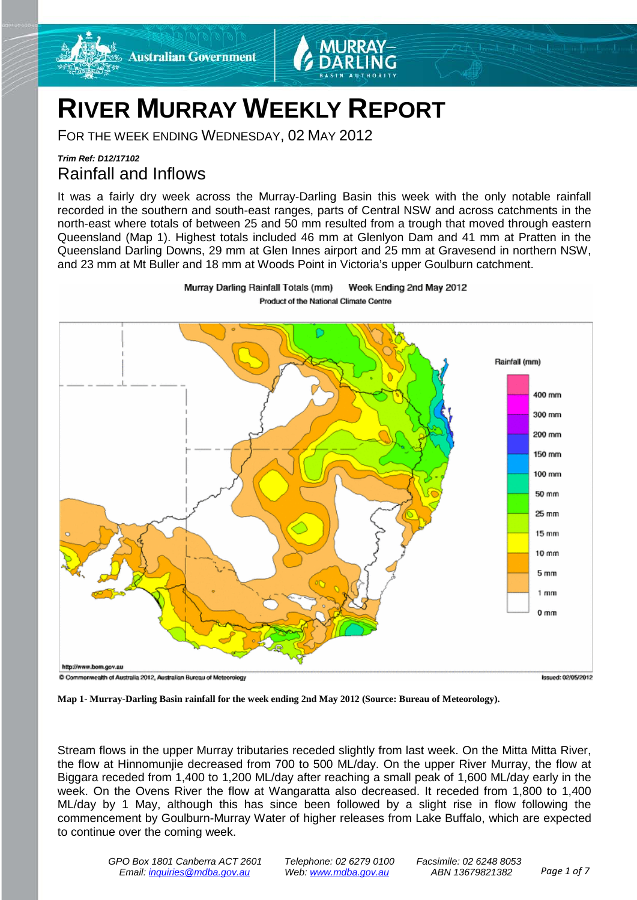

# **RIVER MURRAY WEEKLY REPORT**

FOR THE WEEK ENDING WEDNESDAY, 02 MAY 2012

## *Trim Ref: D12/17102* Rainfall and Inflows

It was a fairly dry week across the Murray-Darling Basin this week with the only notable rainfall recorded in the southern and south-east ranges, parts of Central NSW and across catchments in the north-east where totals of between 25 and 50 mm resulted from a trough that moved through eastern Queensland (Map 1). Highest totals included 46 mm at Glenlyon Dam and 41 mm at Pratten in the Queensland Darling Downs, 29 mm at Glen Innes airport and 25 mm at Gravesend in northern NSW, and 23 mm at Mt Buller and 18 mm at Woods Point in Victoria's upper Goulburn catchment.



**Map 1- Murray-Darling Basin rainfall for the week ending 2nd May 2012 (Source: Bureau of Meteorology).**

Stream flows in the upper Murray tributaries receded slightly from last week. On the Mitta Mitta River, the flow at Hinnomunjie decreased from 700 to 500 ML/day. On the upper River Murray, the flow at Biggara receded from 1,400 to 1,200 ML/day after reaching a small peak of 1,600 ML/day early in the week. On the Ovens River the flow at Wangaratta also decreased. It receded from 1,800 to 1,400 ML/day by 1 May, although this has since been followed by a slight rise in flow following the commencement by Goulburn-Murray Water of higher releases from Lake Buffalo, which are expected to continue over the coming week.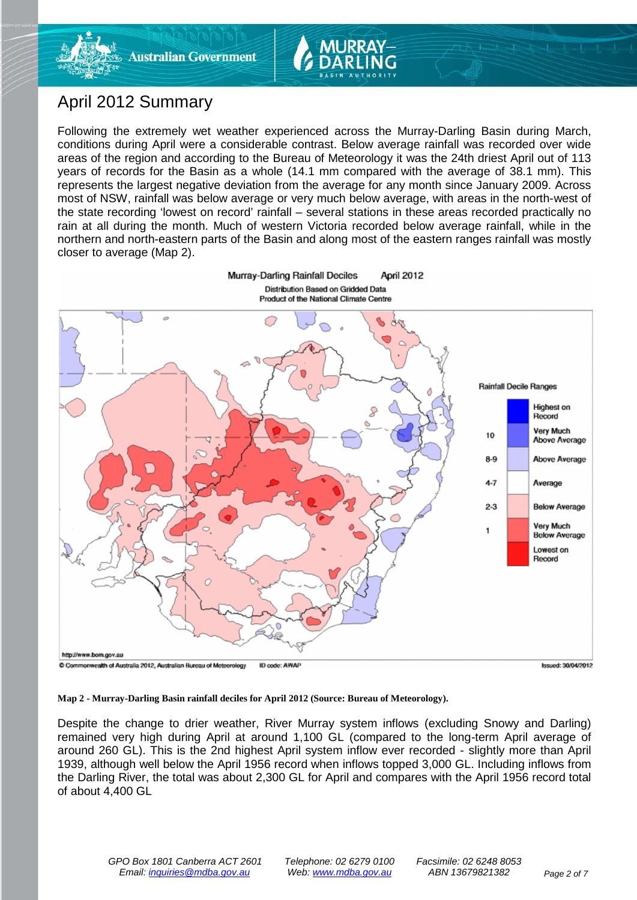

# April 2012 Summary

Following the extremely wet weather experienced across the Murray-Darling Basin during March, conditions during April were a considerable contrast. Below average rainfall was recorded over wide areas of the region and according to the Bureau of Meteorology it was the 24th driest April out of 113 years of records for the Basin as a whole (14.1 mm compared with the average of 38.1 mm). This represents the largest negative deviation from the average for any month since January 2009. Across most of NSW, rainfall was below average or very much below average, with areas in the north-west of the state recording 'lowest on record' rainfall – several stations in these areas recorded practically no rain at all during the month. Much of western Victoria recorded below average rainfall, while in the northern and north-eastern parts of the Basin and along most of the eastern ranges rainfall was mostly closer to average (Map 2).



**Map 2 - Murray-Darling Basin rainfall deciles for April 2012 (Source: Bureau of Meteorology).**

Despite the change to drier weather, River Murray system inflows (excluding Snowy and Darling) remained very high during April at around 1,100 GL (compared to the long-term April average of around 260 GL). This is the 2nd highest April system inflow ever recorded - slightly more than April 1939, although well below the April 1956 record when inflows topped 3,000 GL. Including inflows from the Darling River, the total was about 2,300 GL for April and compares with the April 1956 record total of about 4,400 GL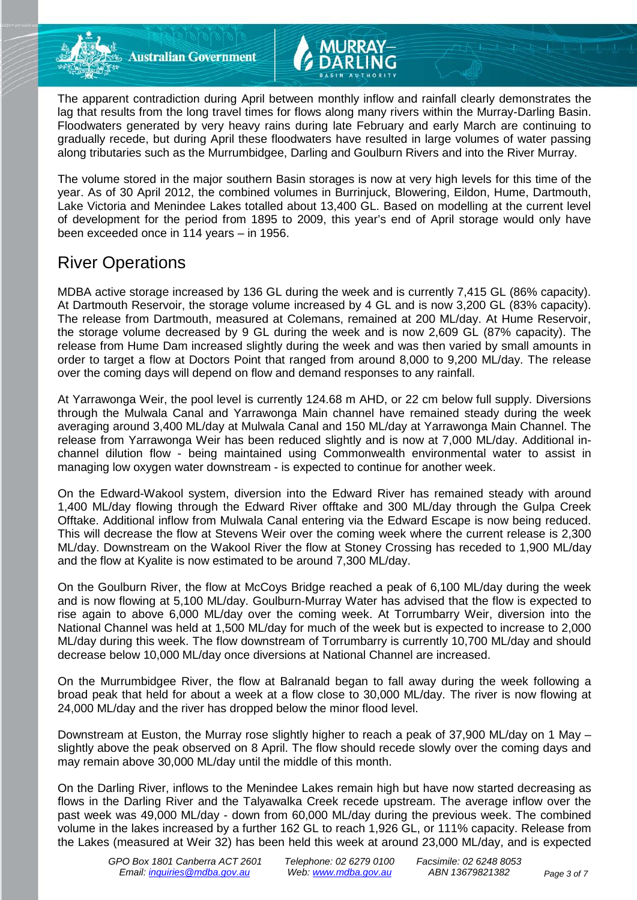The apparent contradiction during April between monthly inflow and rainfall clearly demonstrates the lag that results from the long travel times for flows along many rivers within the Murray-Darling Basin. Floodwaters generated by very heavy rains during late February and early March are continuing to gradually recede, but during April these floodwaters have resulted in large volumes of water passing along tributaries such as the Murrumbidgee, Darling and Goulburn Rivers and into the River Murray.

The volume stored in the major southern Basin storages is now at very high levels for this time of the year. As of 30 April 2012, the combined volumes in Burrinjuck, Blowering, Eildon, Hume, Dartmouth, Lake Victoria and Menindee Lakes totalled about 13,400 GL. Based on modelling at the current level of development for the period from 1895 to 2009, this year's end of April storage would only have been exceeded once in 114 years – in 1956.

## River Operations

MDBA active storage increased by 136 GL during the week and is currently 7,415 GL (86% capacity). At Dartmouth Reservoir, the storage volume increased by 4 GL and is now 3,200 GL (83% capacity). The release from Dartmouth, measured at Colemans, remained at 200 ML/day. At Hume Reservoir, the storage volume decreased by 9 GL during the week and is now 2,609 GL (87% capacity). The release from Hume Dam increased slightly during the week and was then varied by small amounts in order to target a flow at Doctors Point that ranged from around 8,000 to 9,200 ML/day. The release over the coming days will depend on flow and demand responses to any rainfall.

At Yarrawonga Weir, the pool level is currently 124.68 m AHD, or 22 cm below full supply. Diversions through the Mulwala Canal and Yarrawonga Main channel have remained steady during the week averaging around 3,400 ML/day at Mulwala Canal and 150 ML/day at Yarrawonga Main Channel. The release from Yarrawonga Weir has been reduced slightly and is now at 7,000 ML/day. Additional inchannel dilution flow - being maintained using Commonwealth environmental water to assist in managing low oxygen water downstream - is expected to continue for another week.

On the Edward-Wakool system, diversion into the Edward River has remained steady with around 1,400 ML/day flowing through the Edward River offtake and 300 ML/day through the Gulpa Creek Offtake. Additional inflow from Mulwala Canal entering via the Edward Escape is now being reduced. This will decrease the flow at Stevens Weir over the coming week where the current release is 2,300 ML/day. Downstream on the Wakool River the flow at Stoney Crossing has receded to 1,900 ML/day and the flow at Kyalite is now estimated to be around 7,300 ML/day.

On the Goulburn River, the flow at McCoys Bridge reached a peak of 6,100 ML/day during the week and is now flowing at 5,100 ML/day. Goulburn-Murray Water has advised that the flow is expected to rise again to above 6,000 ML/day over the coming week. At Torrumbarry Weir, diversion into the National Channel was held at 1,500 ML/day for much of the week but is expected to increase to 2,000 ML/day during this week. The flow downstream of Torrumbarry is currently 10,700 ML/day and should decrease below 10,000 ML/day once diversions at National Channel are increased.

On the Murrumbidgee River, the flow at Balranald began to fall away during the week following a broad peak that held for about a week at a flow close to 30,000 ML/day. The river is now flowing at 24,000 ML/day and the river has dropped below the minor flood level.

Downstream at Euston, the Murray rose slightly higher to reach a peak of 37,900 ML/day on 1 May – slightly above the peak observed on 8 April. The flow should recede slowly over the coming days and may remain above 30,000 ML/day until the middle of this month.

On the Darling River, inflows to the Menindee Lakes remain high but have now started decreasing as flows in the Darling River and the Talyawalka Creek recede upstream. The average inflow over the past week was 49,000 ML/day - down from 60,000 ML/day during the previous week. The combined volume in the lakes increased by a further 162 GL to reach 1,926 GL, or 111% capacity. Release from the Lakes (measured at Weir 32) has been held this week at around 23,000 ML/day, and is expected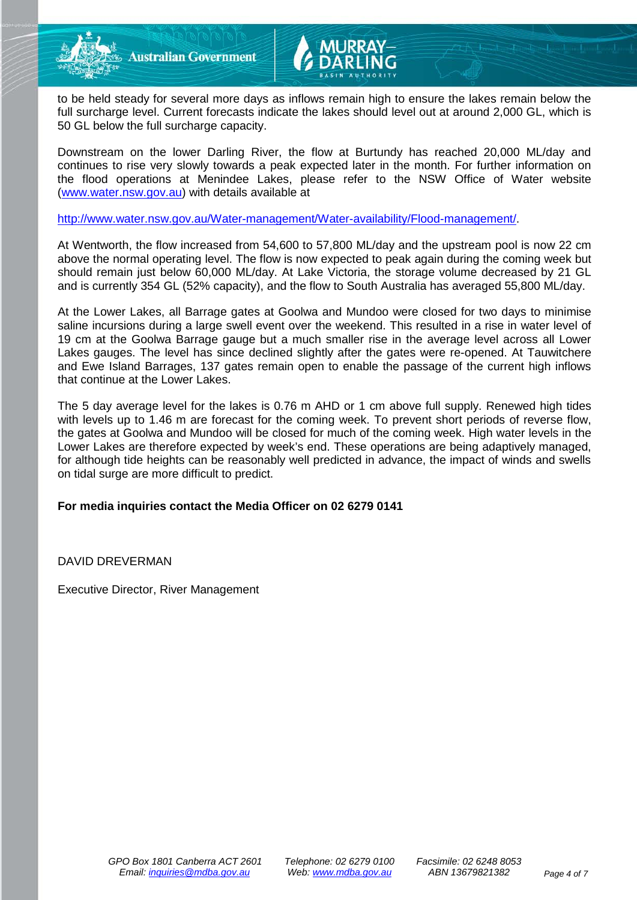

to be held steady for several more days as inflows remain high to ensure the lakes remain below the full surcharge level. Current forecasts indicate the lakes should level out at around 2,000 GL, which is 50 GL below the full surcharge capacity.

Downstream on the lower Darling River, the flow at Burtundy has reached 20,000 ML/day and continues to rise very slowly towards a peak expected later in the month. For further information on the flood operations at Menindee Lakes, please refer to the NSW Office of Water website [\(www.water.nsw.gov.au\)](http://www.water.nsw.gov.au/) with details available at

[http://www.water.nsw.gov.au/Water-management/Water-availability/Flood-management/.](http://www.water.nsw.gov.au/Water-management/Water-availability/Flood-management/)

At Wentworth, the flow increased from 54,600 to 57,800 ML/day and the upstream pool is now 22 cm above the normal operating level. The flow is now expected to peak again during the coming week but should remain just below 60,000 ML/day. At Lake Victoria, the storage volume decreased by 21 GL and is currently 354 GL (52% capacity), and the flow to South Australia has averaged 55,800 ML/day.

At the Lower Lakes, all Barrage gates at Goolwa and Mundoo were closed for two days to minimise saline incursions during a large swell event over the weekend. This resulted in a rise in water level of 19 cm at the Goolwa Barrage gauge but a much smaller rise in the average level across all Lower Lakes gauges. The level has since declined slightly after the gates were re-opened. At Tauwitchere and Ewe Island Barrages, 137 gates remain open to enable the passage of the current high inflows that continue at the Lower Lakes.

The 5 day average level for the lakes is 0.76 m AHD or 1 cm above full supply. Renewed high tides with levels up to 1.46 m are forecast for the coming week. To prevent short periods of reverse flow, the gates at Goolwa and Mundoo will be closed for much of the coming week. High water levels in the Lower Lakes are therefore expected by week's end. These operations are being adaptively managed, for although tide heights can be reasonably well predicted in advance, the impact of winds and swells on tidal surge are more difficult to predict.

#### **For media inquiries contact the Media Officer on 02 6279 0141**

DAVID DREVERMAN

Executive Director, River Management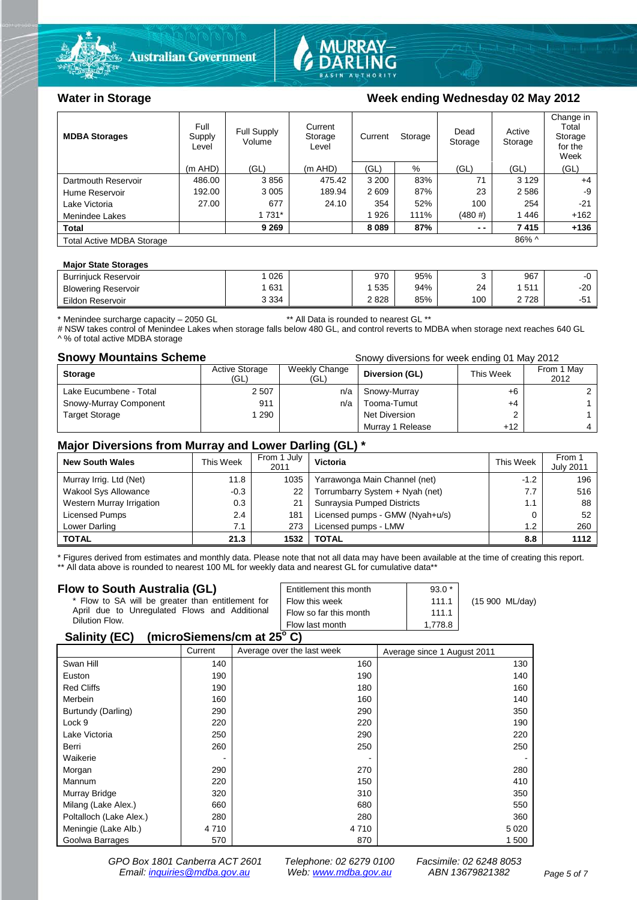



#### Water in Storage Week ending Wednesday 02 May 2012

| <b>MDBA Storages</b>             | Full<br>Supply<br>Level | Full Supply<br>Volume | Current<br>Current<br>Storage<br>Level |         | Storage |        | Active<br>Storage | Change in<br>Total<br>Storage<br>for the<br>Week |
|----------------------------------|-------------------------|-----------------------|----------------------------------------|---------|---------|--------|-------------------|--------------------------------------------------|
|                                  | $(m$ AHD)               | (GL)                  | (m AHD)                                | (GL)    | %       | (GL)   | (GL)              | (GL)                                             |
| Dartmouth Reservoir              | 486.00                  | 3856                  | 475.42                                 | 3 2 0 0 | 83%     | 71     | 3 1 2 9           | $+4$                                             |
| Hume Reservoir                   | 192.00                  | 3 0 0 5               | 189.94                                 | 2609    | 87%     | 23     | 2586              | -9                                               |
| Lake Victoria                    | 27.00                   | 677                   | 24.10                                  | 354     | 52%     | 100    | 254               | $-21$                                            |
| Menindee Lakes                   |                         | 1 731*                |                                        | 1926    | 111%    | (480#) | 1446              | $+162$                                           |
| <b>Total</b>                     |                         | 9 2 6 9               |                                        | 8 0 8 9 | 87%     | $ -$   | 7415              | $+136$                                           |
| <b>Total Active MDBA Storage</b> |                         |                       |                                        |         |         |        | 86% ^             |                                                  |

#### **Major State Storages**

| <b>Burriniuck Reservoir</b> | 026     | 970  | 95% |     | 967             | --    |
|-----------------------------|---------|------|-----|-----|-----------------|-------|
| <b>Blowering Reservoir</b>  | 631     | 535  | 94% | 24  | <b>511</b><br>ັ | $-20$ |
| Eildon<br>ı Reservoir       | 3 3 3 4 | 2828 | 85% | 100 | 728             | --    |
|                             |         |      |     |     |                 |       |

\* Menindee surcharge capacity – 2050 GL \*\* All Data is rounded to nearest GL \*\*

# NSW takes control of Menindee Lakes when storage falls below 480 GL, and control reverts to MDBA when storage next reaches 640 GL ^ % of total active MDBA storage

**Snowy Mountains Scheme Snowy diversions for week ending 01 May 2012** 

| <b>Storage</b>         | <b>Active Storage</b><br>(GL) | Weekly Change<br>(GL) | Diversion (GL)   | This Week | From 1 May<br>2012 |
|------------------------|-------------------------------|-----------------------|------------------|-----------|--------------------|
| Lake Eucumbene - Total | 2507                          | n/a                   | Snowy-Murray     | +6        |                    |
| Snowy-Murray Component | 911                           | n/a                   | Tooma-Tumut      | +4        |                    |
| <b>Target Storage</b>  | 290                           |                       | Net Diversion    |           |                    |
|                        |                               |                       | Murray 1 Release | $+12$     |                    |

#### **Major Diversions from Murray and Lower Darling (GL) \***

| <b>New South Wales</b>    | This Week | From 1 July<br>2011 | Victoria                        | This Week | From 1<br><b>July 2011</b> |
|---------------------------|-----------|---------------------|---------------------------------|-----------|----------------------------|
| Murray Irrig. Ltd (Net)   | 11.8      | 1035                | Yarrawonga Main Channel (net)   | $-1.2$    | 196                        |
| Wakool Sys Allowance      | $-0.3$    | 22                  | Torrumbarry System + Nyah (net) | 7.7       | 516                        |
| Western Murray Irrigation | 0.3       | 21                  | Sunraysia Pumped Districts      | 1.1       | 88                         |
| Licensed Pumps            | 2.4       | 181                 | Licensed pumps - GMW (Nyah+u/s) |           | 52                         |
| Lower Darling             | 7.1       | 273                 | Licensed pumps - LMW            | 1.2       | 260                        |
| <b>TOTAL</b>              | 21.3      | 1532                | <b>TOTAL</b>                    | 8.8       | 1112                       |

\* Figures derived from estimates and monthly data. Please note that not all data may have been available at the time of creating this report. \*\* All data above is rounded to nearest 100 ML for weekly data and nearest GL for cumulative data\*\*

#### **Flow to South Australia (GL)**

| Flow to South Australia (GL)                      | Entitlement this month | $93.0*$ |                 |
|---------------------------------------------------|------------------------|---------|-----------------|
| * Flow to SA will be greater than entitlement for | Flow this week         | 111.1   | (15 900 ML/day) |
| April due to Unregulated Flows and Additional     | Flow so far this month | 111.1   |                 |
| Dilution Flow.                                    | Flow last month        | 1.778.8 |                 |
| 0.11100                                           |                        |         |                 |

#### **Salinity (EC) (microSiemens/cm at 25o C)**

|                         | Current | Average over the last week | Average since 1 August 2011 |
|-------------------------|---------|----------------------------|-----------------------------|
| Swan Hill               | 140     | 160                        | 130                         |
| Euston                  | 190     | 190                        | 140                         |
| <b>Red Cliffs</b>       | 190     | 180                        | 160                         |
| Merbein                 | 160     | 160                        | 140                         |
| Burtundy (Darling)      | 290     | 290                        | 350                         |
| Lock 9                  | 220     | 220                        | 190                         |
| Lake Victoria           | 250     | 290                        | 220                         |
| Berri                   | 260     | 250                        | 250                         |
| Waikerie                |         |                            |                             |
| Morgan                  | 290     | 270                        | 280                         |
| Mannum                  | 220     | 150                        | 410                         |
| Murray Bridge           | 320     | 310                        | 350                         |
| Milang (Lake Alex.)     | 660     | 680                        | 550                         |
| Poltalloch (Lake Alex.) | 280     | 280                        | 360                         |
| Meningie (Lake Alb.)    | 4 7 1 0 | 4 7 1 0                    | 5 0 2 0                     |
| Goolwa Barrages         | 570     | 870                        | 1 500                       |

*GPO Box 1801 Canberra ACT 2601 Telephone: 02 6279 0100 Facsimile: 02 6248 8053 Email: [inquiries@mdba.gov.au](mailto:inquiries@mdba.gov.au) Web: [www.mdba.gov.au](http://www.mdba.gov.au/) ABN 13679821382 Page 5 of 7*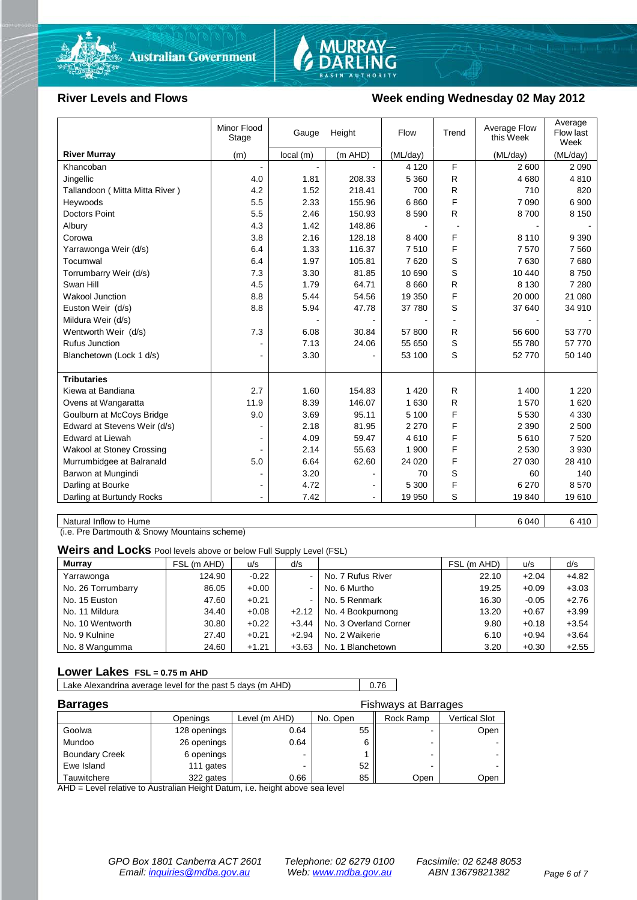



#### River Levels and Flows **Week ending Wednesday 02 May 2012**

|                                | Minor Flood<br>Stage | Height<br>Gauge |         | Flow     | Trend | Average Flow<br>this Week | Average<br>Flow last<br>Week |
|--------------------------------|----------------------|-----------------|---------|----------|-------|---------------------------|------------------------------|
| <b>River Murray</b>            | (m)                  | local(m)        | (m AHD) | (ML/day) |       | (ML/day)                  | (ML/day)                     |
| Khancoban                      |                      |                 |         | 4 1 2 0  | F     | 2 600                     | 2 0 9 0                      |
| Jingellic                      | 4.0                  | 1.81            | 208.33  | 5 3 6 0  | R.    | 4680                      | 4810                         |
| Tallandoon (Mitta Mitta River) | 4.2                  | 1.52            | 218.41  | 700      | R     | 710                       | 820                          |
| Heywoods                       | 5.5                  | 2.33            | 155.96  | 6860     | F     | 7 0 9 0                   | 6 900                        |
| Doctors Point                  | 5.5                  | 2.46            | 150.93  | 8590     | R.    | 8700                      | 8 1 5 0                      |
| Albury                         | 4.3                  | 1.42            | 148.86  |          |       |                           |                              |
| Corowa                         | 3.8                  | 2.16            | 128.18  | 8 4 0 0  | F     | 8 1 1 0                   | 9 3 9 0                      |
| Yarrawonga Weir (d/s)          | 6.4                  | 1.33            | 116.37  | 7510     | F     | 7570                      | 7 5 6 0                      |
| Tocumwal                       | 6.4                  | 1.97            | 105.81  | 7620     | S     | 7630                      | 7680                         |
| Torrumbarry Weir (d/s)         | 7.3                  | 3.30            | 81.85   | 10 690   | S     | 10 440                    | 8750                         |
| Swan Hill                      | 4.5                  | 1.79            | 64.71   | 8 6 6 0  | R     | 8 1 3 0                   | 7 2 8 0                      |
| Wakool Junction                | 8.8                  | 5.44            | 54.56   | 19 350   | F     | 20 000                    | 21 080                       |
| Euston Weir (d/s)              | 8.8                  | 5.94            | 47.78   | 37 780   | S     | 37 640                    | 34 910                       |
| Mildura Weir (d/s)             |                      |                 |         |          | ÷.    |                           |                              |
| Wentworth Weir (d/s)           | 7.3                  | 6.08            | 30.84   | 57 800   | R.    | 56 600                    | 53 770                       |
| <b>Rufus Junction</b>          |                      | 7.13            | 24.06   | 55 650   | S     | 55 780                    | 57 770                       |
| Blanchetown (Lock 1 d/s)       | $\blacksquare$       | 3.30            |         | 53 100   | S     | 52 770                    | 50 140                       |
|                                |                      |                 |         |          |       |                           |                              |
| <b>Tributaries</b>             |                      |                 |         |          |       |                           |                              |
| Kiewa at Bandiana              | 2.7                  | 1.60            | 154.83  | 1 4 2 0  | R.    | 1 400                     | 1 2 2 0                      |
| Ovens at Wangaratta            | 11.9                 | 8.39            | 146.07  | 1 630    | R.    | 1570                      | 1 6 2 0                      |
| Goulburn at McCoys Bridge      | 9.0                  | 3.69            | 95.11   | 5 100    | F     | 5 5 3 0                   | 4 3 3 0                      |
| Edward at Stevens Weir (d/s)   |                      | 2.18            | 81.95   | 2 2 7 0  | F     | 2 3 9 0                   | 2 500                        |
| <b>Edward at Liewah</b>        |                      | 4.09            | 59.47   | 4610     | F     | 5610                      | 7 5 20                       |
| Wakool at Stoney Crossing      |                      | 2.14            | 55.63   | 1 900    | F     | 2 5 3 0                   | 3930                         |
| Murrumbidgee at Balranald      | 5.0                  | 6.64            | 62.60   | 24 0 20  | F     | 27 030                    | 28 410                       |
| Barwon at Mungindi             | ۰                    | 3.20            |         | 70       | S     | 60                        | 140                          |
| Darling at Bourke              | $\blacksquare$       | 4.72            |         | 5 300    | F     | 6 2 7 0                   | 8570                         |
| Darling at Burtundy Rocks      |                      | 7.42            |         | 19 950   | S     | 19840                     | 19610                        |

Natural Inflow to Hume 6 040 6 410

(i.e. Pre Dartmouth & Snowy Mountains scheme)

**Weirs and Locks** Pool levels above or below Full Supply Level (FSL)

| <b>Murray</b>      | FSL (m AHD) | u/s     | d/s            |                       | FSL (m AHD) | u/s     | d/s     |
|--------------------|-------------|---------|----------------|-----------------------|-------------|---------|---------|
| Yarrawonga         | 124.90      | $-0.22$ | $\blacksquare$ | No. 7 Rufus River     | 22.10       | $+2.04$ | $+4.82$ |
| No. 26 Torrumbarry | 86.05       | $+0.00$ | $\sim$         | No. 6 Murtho          | 19.25       | $+0.09$ | $+3.03$ |
| No. 15 Euston      | 47.60       | $+0.21$ | $\blacksquare$ | No. 5 Renmark         | 16.30       | $-0.05$ | $+2.76$ |
| No. 11 Mildura     | 34.40       | $+0.08$ | $+2.12$        | No. 4 Bookpurnong     | 13.20       | $+0.67$ | $+3.99$ |
| No. 10 Wentworth   | 30.80       | $+0.22$ | $+3.44$        | No. 3 Overland Corner | 9.80        | $+0.18$ | $+3.54$ |
| No. 9 Kulnine      | 27.40       | $+0.21$ | $+2.94$        | No. 2 Waikerie        | 6.10        | $+0.94$ | $+3.64$ |
| No. 8 Wangumma     | 24.60       | $+1.21$ | $+3.63$        | No. 1 Blanchetown     | 3.20        | $+0.30$ | $+2.55$ |

#### **Lower Lakes FSL = 0.75 m AHD**

Lake Alexandrina average level for the past 5 days (m AHD) 0.76

| <b>Barrages</b>       | <b>Fishways at Barrages</b> |                          |          |           |               |  |
|-----------------------|-----------------------------|--------------------------|----------|-----------|---------------|--|
|                       | Openings                    | Level (m AHD)            | No. Open | Rock Ramp | Vertical Slot |  |
| Goolwa                | 128 openings                | 0.64                     | 55       | -         | Open          |  |
| Mundoo                | 26 openings                 | 0.64                     |          | -         |               |  |
| <b>Boundary Creek</b> | 6 openings                  | $\overline{\phantom{0}}$ |          | -         |               |  |
| Ewe Island            | 111 gates                   |                          | 52       | -         |               |  |
| Tauwitchere           | 322 gates                   | 0.66                     | 85       | Open      | Open          |  |

AHD = Level relative to Australian Height Datum, i.e. height above sea level